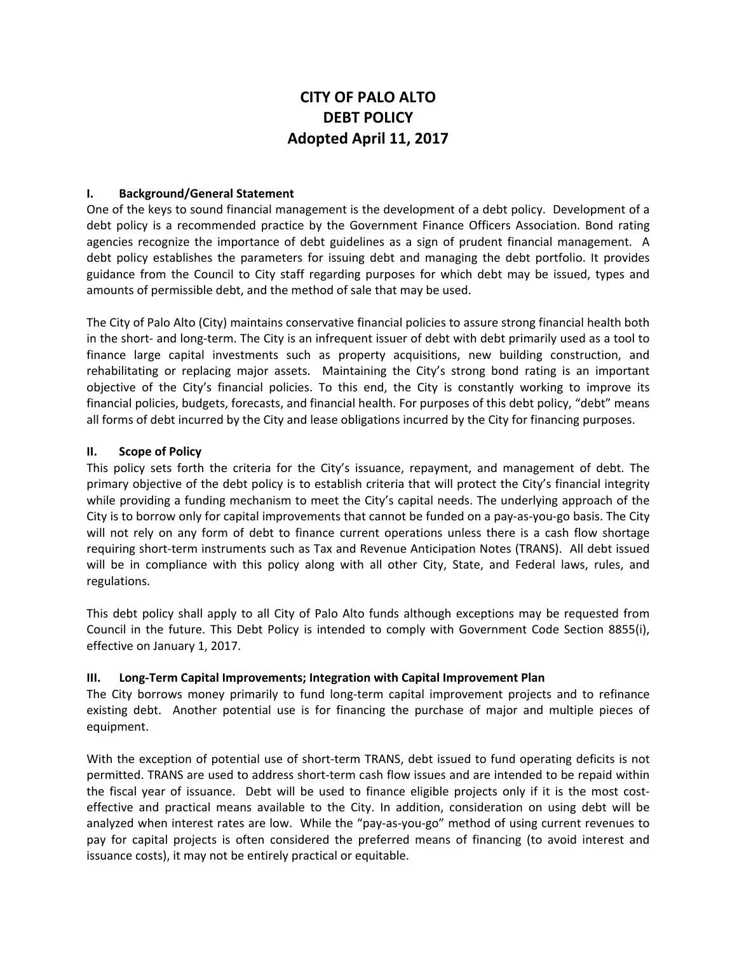# **CITY OF PALO ALTO DEBT POLICY Adopted April 11, 2017**

## **I. Background/General Statement**

One of the keys to sound financial management is the development of a debt policy. Development of a debt policy is a recommended practice by the Government Finance Officers Association. Bond rating agencies recognize the importance of debt guidelines as a sign of prudent financial management. A debt policy establishes the parameters for issuing debt and managing the debt portfolio. It provides guidance from the Council to City staff regarding purposes for which debt may be issued, types and amounts of permissible debt, and the method of sale that may be used.

The City of Palo Alto (City) maintains conservative financial policies to assure strong financial health both in the short- and long-term. The City is an infrequent issuer of debt with debt primarily used as a tool to finance large capital investments such as property acquisitions, new building construction, and rehabilitating or replacing major assets. Maintaining the City's strong bond rating is an important objective of the City's financial policies. To this end, the City is constantly working to improve its financial policies, budgets, forecasts, and financial health. For purposes of this debt policy, "debt" means all forms of debt incurred by the City and lease obligations incurred by the City for financing purposes.

#### **II. Scope of Policy**

This policy sets forth the criteria for the City's issuance, repayment, and management of debt. The primary objective of the debt policy is to establish criteria that will protect the City's financial integrity while providing a funding mechanism to meet the City's capital needs. The underlying approach of the City is to borrow only for capital improvements that cannot be funded on a pay‐as‐you‐go basis. The City will not rely on any form of debt to finance current operations unless there is a cash flow shortage requiring short‐term instruments such as Tax and Revenue Anticipation Notes (TRANS). All debt issued will be in compliance with this policy along with all other City, State, and Federal laws, rules, and regulations.

This debt policy shall apply to all City of Palo Alto funds although exceptions may be requested from Council in the future. This Debt Policy is intended to comply with Government Code Section 8855(i), effective on January 1, 2017.

## **III. Long‐Term Capital Improvements; Integration with Capital Improvement Plan**

The City borrows money primarily to fund long-term capital improvement projects and to refinance existing debt. Another potential use is for financing the purchase of major and multiple pieces of equipment.

With the exception of potential use of short-term TRANS, debt issued to fund operating deficits is not permitted. TRANS are used to address short-term cash flow issues and are intended to be repaid within the fiscal year of issuance. Debt will be used to finance eligible projects only if it is the most costeffective and practical means available to the City. In addition, consideration on using debt will be analyzed when interest rates are low. While the "pay-as-you-go" method of using current revenues to pay for capital projects is often considered the preferred means of financing (to avoid interest and issuance costs), it may not be entirely practical or equitable.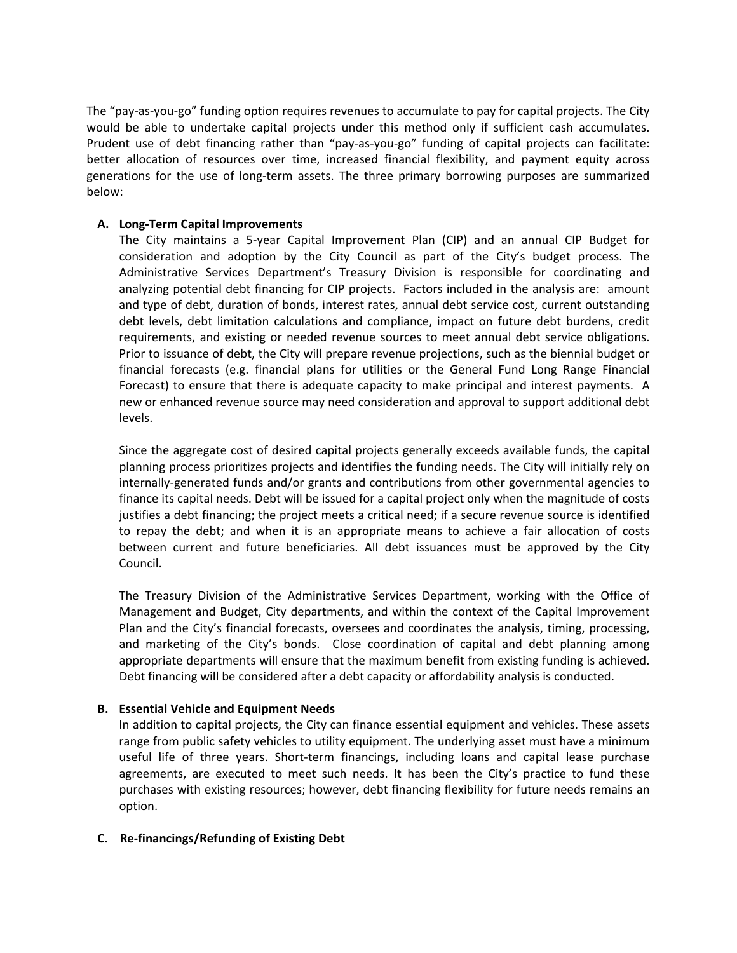The "pay‐as‐you‐go" funding option requires revenues to accumulate to pay for capital projects. The City would be able to undertake capital projects under this method only if sufficient cash accumulates. Prudent use of debt financing rather than "pay‐as‐you‐go" funding of capital projects can facilitate: better allocation of resources over time, increased financial flexibility, and payment equity across generations for the use of long-term assets. The three primary borrowing purposes are summarized below:

## **A. Long‐Term Capital Improvements**

The City maintains a 5‐year Capital Improvement Plan (CIP) and an annual CIP Budget for consideration and adoption by the City Council as part of the City's budget process. The Administrative Services Department's Treasury Division is responsible for coordinating and analyzing potential debt financing for CIP projects. Factors included in the analysis are: amount and type of debt, duration of bonds, interest rates, annual debt service cost, current outstanding debt levels, debt limitation calculations and compliance, impact on future debt burdens, credit requirements, and existing or needed revenue sources to meet annual debt service obligations. Prior to issuance of debt, the City will prepare revenue projections, such as the biennial budget or financial forecasts (e.g. financial plans for utilities or the General Fund Long Range Financial Forecast) to ensure that there is adequate capacity to make principal and interest payments. A new or enhanced revenue source may need consideration and approval to support additional debt levels.

Since the aggregate cost of desired capital projects generally exceeds available funds, the capital planning process prioritizes projects and identifies the funding needs. The City will initially rely on internally‐generated funds and/or grants and contributions from other governmental agencies to finance its capital needs. Debt will be issued for a capital project only when the magnitude of costs justifies a debt financing; the project meets a critical need; if a secure revenue source is identified to repay the debt; and when it is an appropriate means to achieve a fair allocation of costs between current and future beneficiaries. All debt issuances must be approved by the City Council.

The Treasury Division of the Administrative Services Department, working with the Office of Management and Budget, City departments, and within the context of the Capital Improvement Plan and the City's financial forecasts, oversees and coordinates the analysis, timing, processing, and marketing of the City's bonds. Close coordination of capital and debt planning among appropriate departments will ensure that the maximum benefit from existing funding is achieved. Debt financing will be considered after a debt capacity or affordability analysis is conducted.

## **B. Essential Vehicle and Equipment Needs**

In addition to capital projects, the City can finance essential equipment and vehicles. These assets range from public safety vehicles to utility equipment. The underlying asset must have a minimum useful life of three years. Short-term financings, including loans and capital lease purchase agreements, are executed to meet such needs. It has been the City's practice to fund these purchases with existing resources; however, debt financing flexibility for future needs remains an option.

## **C. Re‐financings/Refunding of Existing Debt**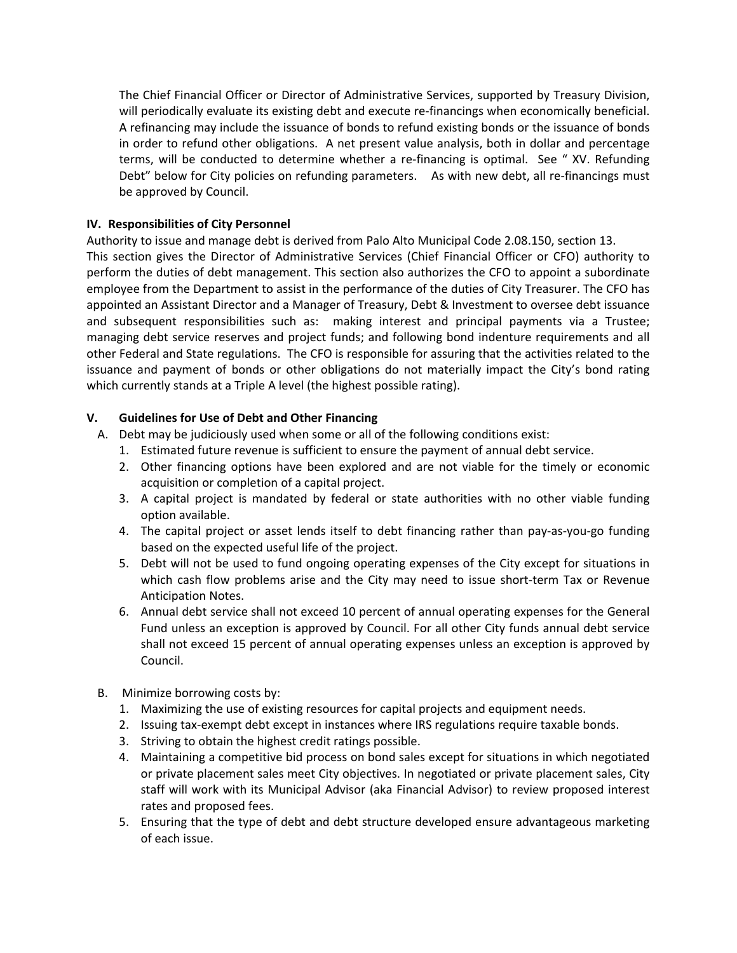The Chief Financial Officer or Director of Administrative Services, supported by Treasury Division, will periodically evaluate its existing debt and execute re-financings when economically beneficial. A refinancing may include the issuance of bonds to refund existing bonds or the issuance of bonds in order to refund other obligations. A net present value analysis, both in dollar and percentage terms, will be conducted to determine whether a re‐financing is optimal. See " XV. Refunding Debt" below for City policies on refunding parameters. As with new debt, all re-financings must be approved by Council.

# **IV. Responsibilities of City Personnel**

Authority to issue and manage debt is derived from Palo Alto Municipal Code 2.08.150, section 13. This section gives the Director of Administrative Services (Chief Financial Officer or CFO) authority to perform the duties of debt management. This section also authorizes the CFO to appoint a subordinate employee from the Department to assist in the performance of the duties of City Treasurer. The CFO has appointed an Assistant Director and a Manager of Treasury, Debt & Investment to oversee debt issuance and subsequent responsibilities such as: making interest and principal payments via a Trustee; managing debt service reserves and project funds; and following bond indenture requirements and all other Federal and State regulations. The CFO is responsible for assuring that the activities related to the issuance and payment of bonds or other obligations do not materially impact the City's bond rating which currently stands at a Triple A level (the highest possible rating).

# **V. Guidelines for Use of Debt and Other Financing**

- A. Debt may be judiciously used when some or all of the following conditions exist:
	- 1. Estimated future revenue is sufficient to ensure the payment of annual debt service.
	- 2. Other financing options have been explored and are not viable for the timely or economic acquisition or completion of a capital project.
	- 3. A capital project is mandated by federal or state authorities with no other viable funding option available.
	- 4. The capital project or asset lends itself to debt financing rather than pay-as-you-go funding based on the expected useful life of the project.
	- 5. Debt will not be used to fund ongoing operating expenses of the City except for situations in which cash flow problems arise and the City may need to issue short-term Tax or Revenue Anticipation Notes.
	- 6. Annual debt service shall not exceed 10 percent of annual operating expenses for the General Fund unless an exception is approved by Council. For all other City funds annual debt service shall not exceed 15 percent of annual operating expenses unless an exception is approved by Council.
- B. Minimize borrowing costs by:
	- 1. Maximizing the use of existing resources for capital projects and equipment needs.
	- 2. Issuing tax-exempt debt except in instances where IRS regulations require taxable bonds.
	- 3. Striving to obtain the highest credit ratings possible.
	- 4. Maintaining a competitive bid process on bond sales except for situations in which negotiated or private placement sales meet City objectives. In negotiated or private placement sales, City staff will work with its Municipal Advisor (aka Financial Advisor) to review proposed interest rates and proposed fees.
	- 5. Ensuring that the type of debt and debt structure developed ensure advantageous marketing of each issue.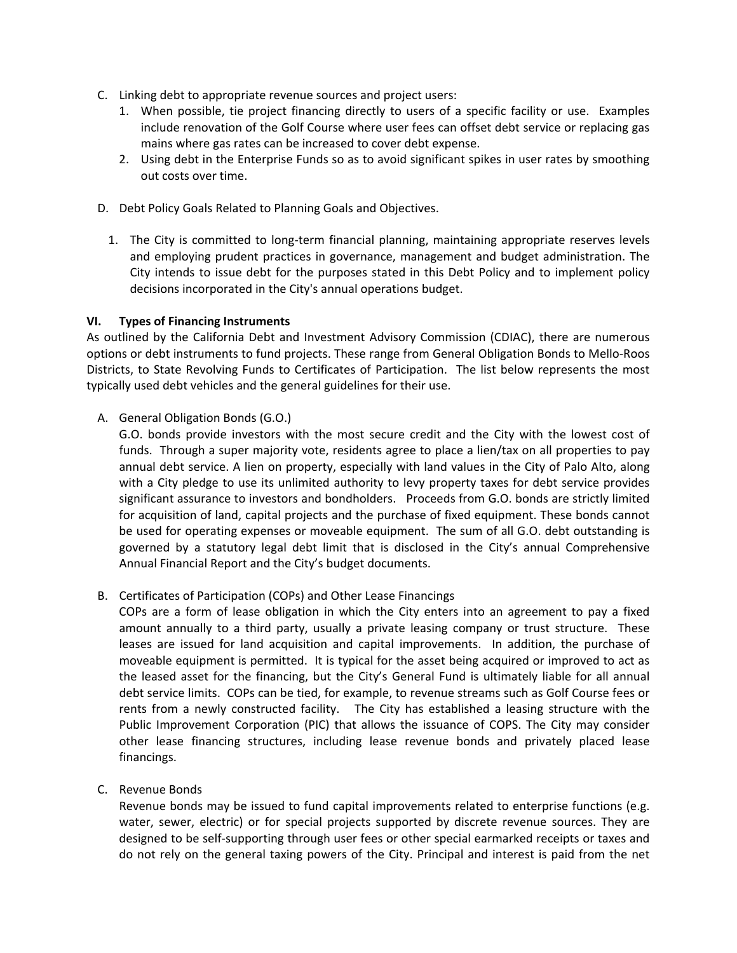- C. Linking debt to appropriate revenue sources and project users:
	- 1. When possible, tie project financing directly to users of a specific facility or use. Examples include renovation of the Golf Course where user fees can offset debt service or replacing gas mains where gas rates can be increased to cover debt expense.
	- 2. Using debt in the Enterprise Funds so as to avoid significant spikes in user rates by smoothing out costs over time.
- D. Debt Policy Goals Related to Planning Goals and Objectives.
	- 1. The City is committed to long-term financial planning, maintaining appropriate reserves levels and employing prudent practices in governance, management and budget administration. The City intends to issue debt for the purposes stated in this Debt Policy and to implement policy decisions incorporated in the City's annual operations budget.

# **VI. Types of Financing Instruments**

As outlined by the California Debt and Investment Advisory Commission (CDIAC), there are numerous options or debt instruments to fund projects. These range from General Obligation Bonds to Mello‐Roos Districts, to State Revolving Funds to Certificates of Participation. The list below represents the most typically used debt vehicles and the general guidelines for their use.

A. General Obligation Bonds (G.O.)

G.O. bonds provide investors with the most secure credit and the City with the lowest cost of funds. Through a super majority vote, residents agree to place a lien/tax on all properties to pay annual debt service. A lien on property, especially with land values in the City of Palo Alto, along with a City pledge to use its unlimited authority to levy property taxes for debt service provides significant assurance to investors and bondholders. Proceeds from G.O. bonds are strictly limited for acquisition of land, capital projects and the purchase of fixed equipment. These bonds cannot be used for operating expenses or moveable equipment. The sum of all G.O. debt outstanding is governed by a statutory legal debt limit that is disclosed in the City's annual Comprehensive Annual Financial Report and the City's budget documents.

B. Certificates of Participation (COPs) and Other Lease Financings

COPs are a form of lease obligation in which the City enters into an agreement to pay a fixed amount annually to a third party, usually a private leasing company or trust structure. These leases are issued for land acquisition and capital improvements. In addition, the purchase of moveable equipment is permitted. It is typical for the asset being acquired or improved to act as the leased asset for the financing, but the City's General Fund is ultimately liable for all annual debt service limits. COPs can be tied, for example, to revenue streams such as Golf Course fees or rents from a newly constructed facility. The City has established a leasing structure with the Public Improvement Corporation (PIC) that allows the issuance of COPS. The City may consider other lease financing structures, including lease revenue bonds and privately placed lease financings.

C. Revenue Bonds

Revenue bonds may be issued to fund capital improvements related to enterprise functions (e.g. water, sewer, electric) or for special projects supported by discrete revenue sources. They are designed to be self‐supporting through user fees or other special earmarked receipts or taxes and do not rely on the general taxing powers of the City. Principal and interest is paid from the net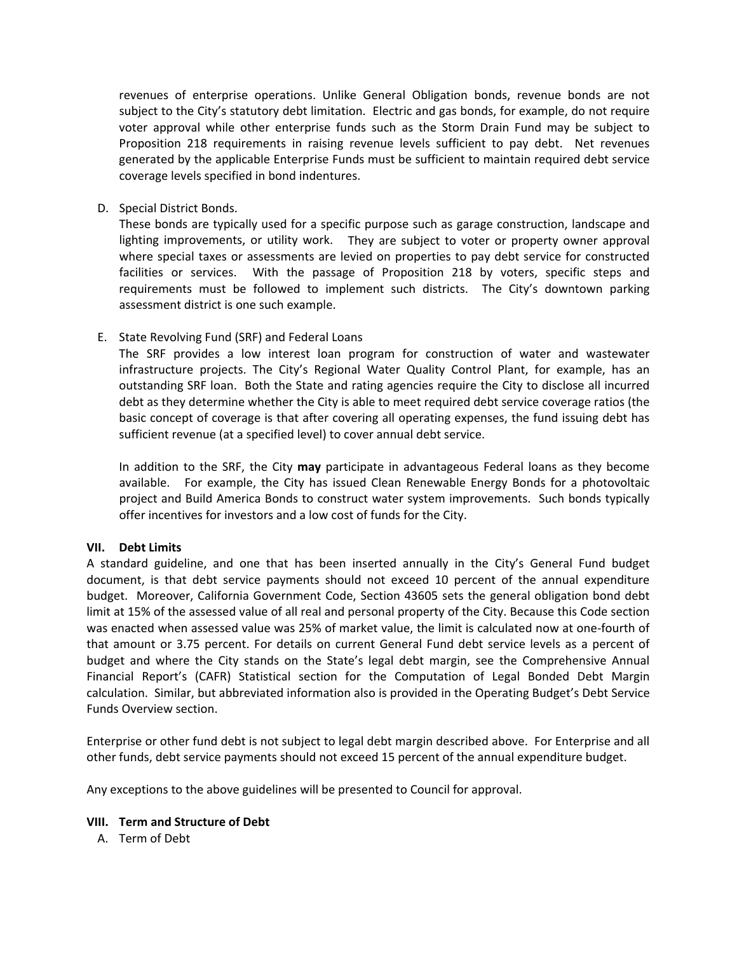revenues of enterprise operations. Unlike General Obligation bonds, revenue bonds are not subject to the City's statutory debt limitation. Electric and gas bonds, for example, do not require voter approval while other enterprise funds such as the Storm Drain Fund may be subject to Proposition 218 requirements in raising revenue levels sufficient to pay debt. Net revenues generated by the applicable Enterprise Funds must be sufficient to maintain required debt service coverage levels specified in bond indentures.

D. Special District Bonds.

These bonds are typically used for a specific purpose such as garage construction, landscape and lighting improvements, or utility work. They are subject to voter or property owner approval where special taxes or assessments are levied on properties to pay debt service for constructed facilities or services. With the passage of Proposition 218 by voters, specific steps and requirements must be followed to implement such districts. The City's downtown parking assessment district is one such example.

E. State Revolving Fund (SRF) and Federal Loans

The SRF provides a low interest loan program for construction of water and wastewater infrastructure projects. The City's Regional Water Quality Control Plant, for example, has an outstanding SRF loan. Both the State and rating agencies require the City to disclose all incurred debt as they determine whether the City is able to meet required debt service coverage ratios (the basic concept of coverage is that after covering all operating expenses, the fund issuing debt has sufficient revenue (at a specified level) to cover annual debt service.

In addition to the SRF, the City **may** participate in advantageous Federal loans as they become available. For example, the City has issued Clean Renewable Energy Bonds for a photovoltaic project and Build America Bonds to construct water system improvements. Such bonds typically offer incentives for investors and a low cost of funds for the City.

## **VII. Debt Limits**

A standard guideline, and one that has been inserted annually in the City's General Fund budget document, is that debt service payments should not exceed 10 percent of the annual expenditure budget. Moreover, California Government Code, Section 43605 sets the general obligation bond debt limit at 15% of the assessed value of all real and personal property of the City. Because this Code section was enacted when assessed value was 25% of market value, the limit is calculated now at one‐fourth of that amount or 3.75 percent. For details on current General Fund debt service levels as a percent of budget and where the City stands on the State's legal debt margin, see the Comprehensive Annual Financial Report's (CAFR) Statistical section for the Computation of Legal Bonded Debt Margin calculation. Similar, but abbreviated information also is provided in the Operating Budget's Debt Service Funds Overview section.

Enterprise or other fund debt is not subject to legal debt margin described above. For Enterprise and all other funds, debt service payments should not exceed 15 percent of the annual expenditure budget.

Any exceptions to the above guidelines will be presented to Council for approval.

## **VIII. Term and Structure of Debt**

A. Term of Debt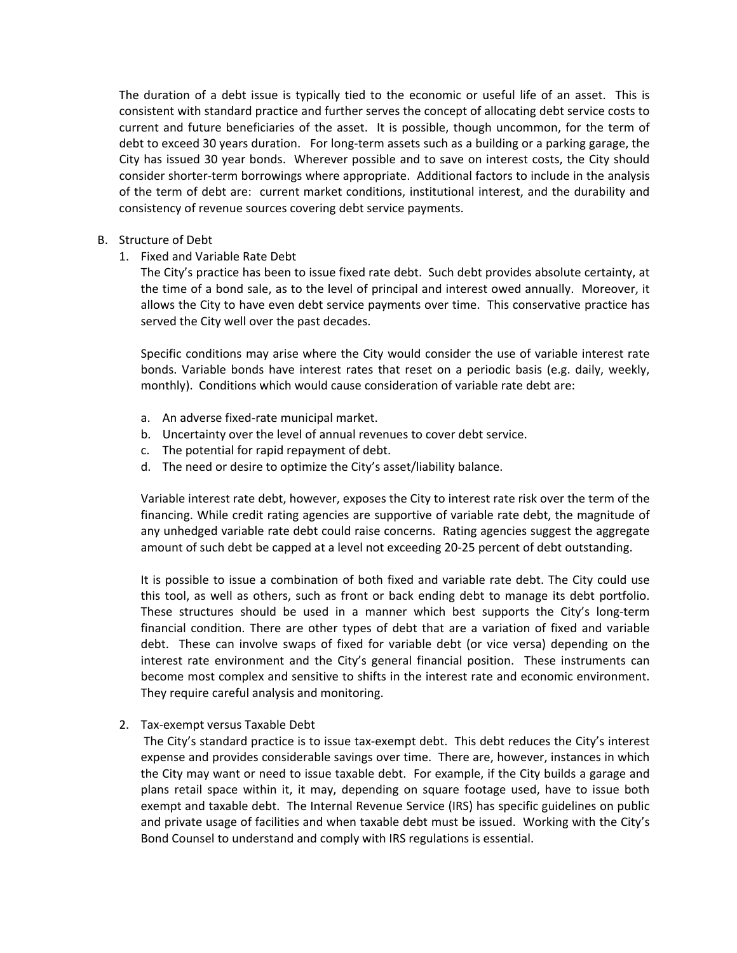The duration of a debt issue is typically tied to the economic or useful life of an asset. This is consistent with standard practice and further serves the concept of allocating debt service costs to current and future beneficiaries of the asset. It is possible, though uncommon, for the term of debt to exceed 30 years duration. For long-term assets such as a building or a parking garage, the City has issued 30 year bonds. Wherever possible and to save on interest costs, the City should consider shorter-term borrowings where appropriate. Additional factors to include in the analysis of the term of debt are: current market conditions, institutional interest, and the durability and consistency of revenue sources covering debt service payments.

#### B. Structure of Debt

1. Fixed and Variable Rate Debt

The City's practice has been to issue fixed rate debt. Such debt provides absolute certainty, at the time of a bond sale, as to the level of principal and interest owed annually. Moreover, it allows the City to have even debt service payments over time. This conservative practice has served the City well over the past decades.

Specific conditions may arise where the City would consider the use of variable interest rate bonds. Variable bonds have interest rates that reset on a periodic basis (e.g. daily, weekly, monthly). Conditions which would cause consideration of variable rate debt are:

- a. An adverse fixed‐rate municipal market.
- b. Uncertainty over the level of annual revenues to cover debt service.
- c. The potential for rapid repayment of debt.
- d. The need or desire to optimize the City's asset/liability balance.

Variable interest rate debt, however, exposes the City to interest rate risk over the term of the financing. While credit rating agencies are supportive of variable rate debt, the magnitude of any unhedged variable rate debt could raise concerns. Rating agencies suggest the aggregate amount of such debt be capped at a level not exceeding 20‐25 percent of debt outstanding.

It is possible to issue a combination of both fixed and variable rate debt. The City could use this tool, as well as others, such as front or back ending debt to manage its debt portfolio. These structures should be used in a manner which best supports the City's long‐term financial condition. There are other types of debt that are a variation of fixed and variable debt. These can involve swaps of fixed for variable debt (or vice versa) depending on the interest rate environment and the City's general financial position. These instruments can become most complex and sensitive to shifts in the interest rate and economic environment. They require careful analysis and monitoring.

2. Tax‐exempt versus Taxable Debt

The City's standard practice is to issue tax‐exempt debt. This debt reduces the City's interest expense and provides considerable savings over time. There are, however, instances in which the City may want or need to issue taxable debt. For example, if the City builds a garage and plans retail space within it, it may, depending on square footage used, have to issue both exempt and taxable debt. The Internal Revenue Service (IRS) has specific guidelines on public and private usage of facilities and when taxable debt must be issued. Working with the City's Bond Counsel to understand and comply with IRS regulations is essential.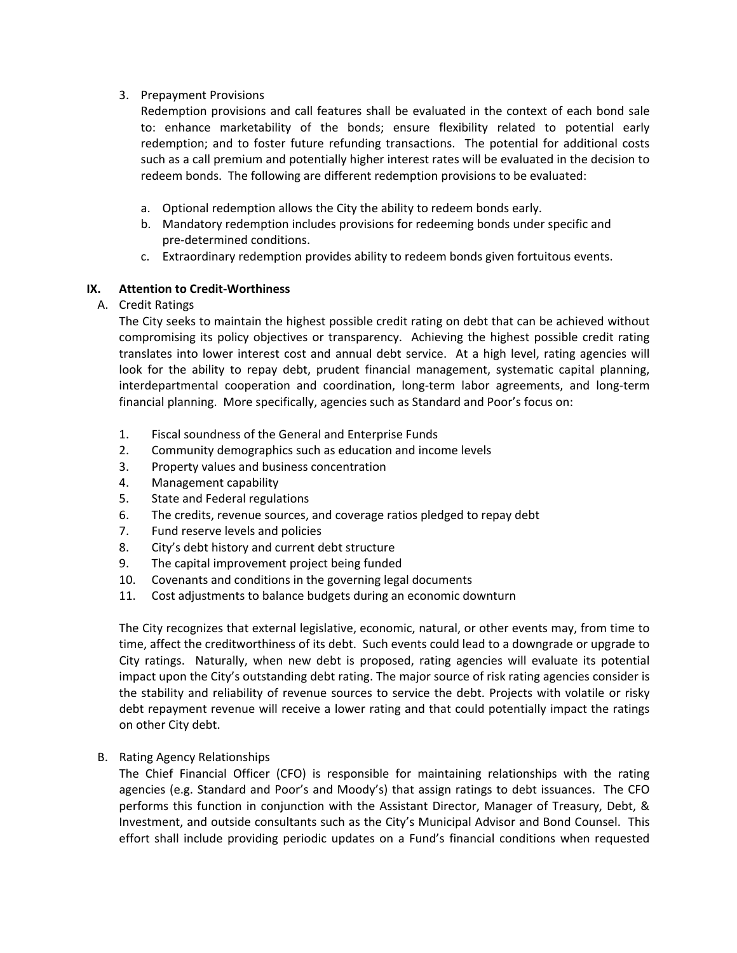# 3. Prepayment Provisions

Redemption provisions and call features shall be evaluated in the context of each bond sale to: enhance marketability of the bonds; ensure flexibility related to potential early redemption; and to foster future refunding transactions. The potential for additional costs such as a call premium and potentially higher interest rates will be evaluated in the decision to redeem bonds. The following are different redemption provisions to be evaluated:

- a. Optional redemption allows the City the ability to redeem bonds early.
- b. Mandatory redemption includes provisions for redeeming bonds under specific and pre‐determined conditions.
- c. Extraordinary redemption provides ability to redeem bonds given fortuitous events.

# **IX. Attention to Credit‐Worthiness**

A. Credit Ratings

The City seeks to maintain the highest possible credit rating on debt that can be achieved without compromising its policy objectives or transparency. Achieving the highest possible credit rating translates into lower interest cost and annual debt service. At a high level, rating agencies will look for the ability to repay debt, prudent financial management, systematic capital planning, interdepartmental cooperation and coordination, long‐term labor agreements, and long‐term financial planning. More specifically, agencies such as Standard and Poor's focus on:

- 1. Fiscal soundness of the General and Enterprise Funds
- 2. Community demographics such as education and income levels
- 3. Property values and business concentration
- 4. Management capability
- 5. State and Federal regulations
- 6. The credits, revenue sources, and coverage ratios pledged to repay debt
- 7. Fund reserve levels and policies
- 8. City's debt history and current debt structure
- 9. The capital improvement project being funded
- 10. Covenants and conditions in the governing legal documents
- 11. Cost adjustments to balance budgets during an economic downturn

The City recognizes that external legislative, economic, natural, or other events may, from time to time, affect the creditworthiness of its debt. Such events could lead to a downgrade or upgrade to City ratings. Naturally, when new debt is proposed, rating agencies will evaluate its potential impact upon the City's outstanding debt rating. The major source of risk rating agencies consider is the stability and reliability of revenue sources to service the debt. Projects with volatile or risky debt repayment revenue will receive a lower rating and that could potentially impact the ratings on other City debt.

## B. Rating Agency Relationships

The Chief Financial Officer (CFO) is responsible for maintaining relationships with the rating agencies (e.g. Standard and Poor's and Moody's) that assign ratings to debt issuances. The CFO performs this function in conjunction with the Assistant Director, Manager of Treasury, Debt, & Investment, and outside consultants such as the City's Municipal Advisor and Bond Counsel. This effort shall include providing periodic updates on a Fund's financial conditions when requested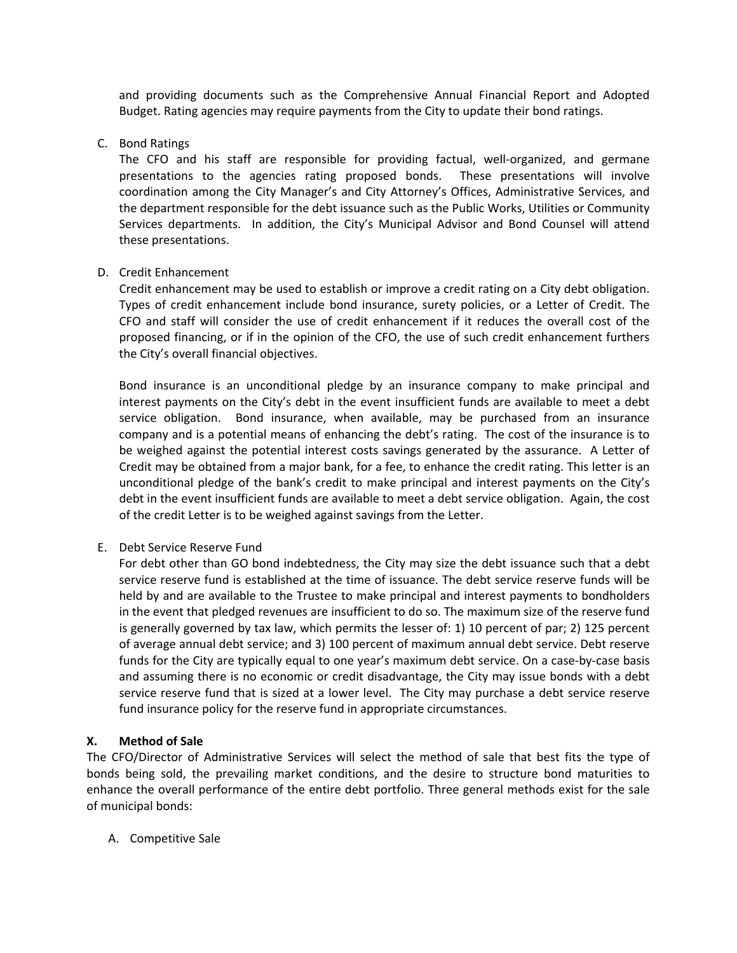and providing documents such as the Comprehensive Annual Financial Report and Adopted Budget. Rating agencies may require payments from the City to update their bond ratings.

C. Bond Ratings

The CFO and his staff are responsible for providing factual, well-organized, and germane presentations to the agencies rating proposed bonds. These presentations will involve coordination among the City Manager's and City Attorney's Offices, Administrative Services, and the department responsible for the debt issuance such as the Public Works, Utilities or Community Services departments. In addition, the City's Municipal Advisor and Bond Counsel will attend these presentations.

#### D. Credit Enhancement

Credit enhancement may be used to establish or improve a credit rating on a City debt obligation. Types of credit enhancement include bond insurance, surety policies, or a Letter of Credit. The CFO and staff will consider the use of credit enhancement if it reduces the overall cost of the proposed financing, or if in the opinion of the CFO, the use of such credit enhancement furthers the City's overall financial objectives.

Bond insurance is an unconditional pledge by an insurance company to make principal and interest payments on the City's debt in the event insufficient funds are available to meet a debt service obligation. Bond insurance, when available, may be purchased from an insurance company and is a potential means of enhancing the debt's rating. The cost of the insurance is to be weighed against the potential interest costs savings generated by the assurance. A Letter of Credit may be obtained from a major bank, for a fee, to enhance the credit rating. This letter is an unconditional pledge of the bank's credit to make principal and interest payments on the City's debt in the event insufficient funds are available to meet a debt service obligation. Again, the cost of the credit Letter is to be weighed against savings from the Letter.

E. Debt Service Reserve Fund

For debt other than GO bond indebtedness, the City may size the debt issuance such that a debt service reserve fund is established at the time of issuance. The debt service reserve funds will be held by and are available to the Trustee to make principal and interest payments to bondholders in the event that pledged revenues are insufficient to do so. The maximum size of the reserve fund is generally governed by tax law, which permits the lesser of: 1) 10 percent of par; 2) 125 percent of average annual debt service; and 3) 100 percent of maximum annual debt service. Debt reserve funds for the City are typically equal to one year's maximum debt service. On a case-by-case basis and assuming there is no economic or credit disadvantage, the City may issue bonds with a debt service reserve fund that is sized at a lower level. The City may purchase a debt service reserve fund insurance policy for the reserve fund in appropriate circumstances.

## **X. Method of Sale**

The CFO/Director of Administrative Services will select the method of sale that best fits the type of bonds being sold, the prevailing market conditions, and the desire to structure bond maturities to enhance the overall performance of the entire debt portfolio. Three general methods exist for the sale of municipal bonds:

A. Competitive Sale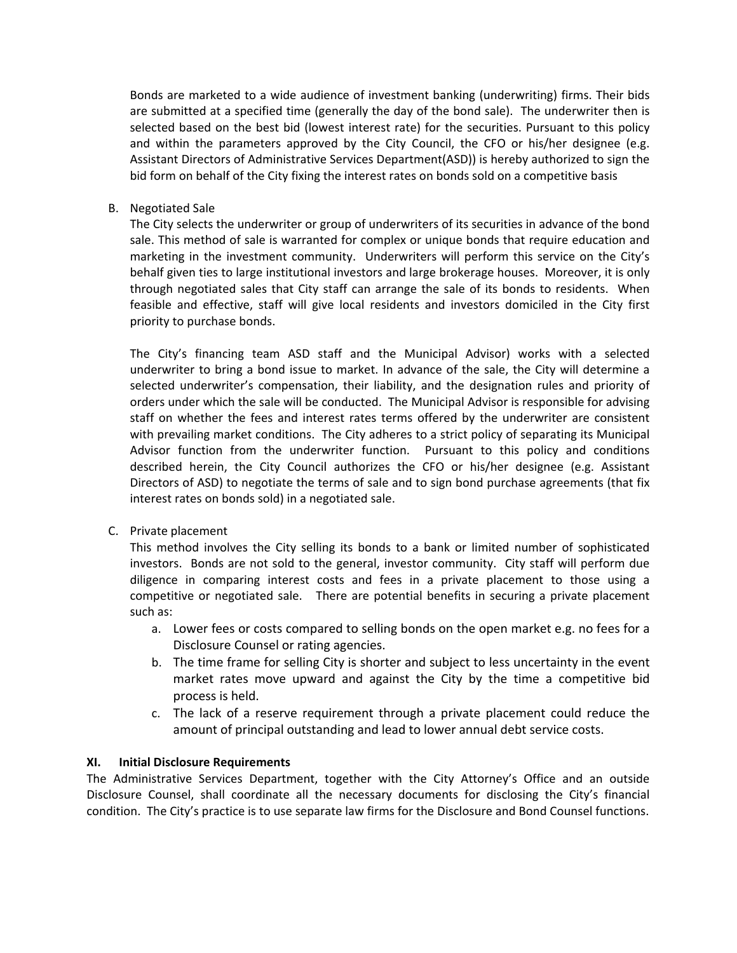Bonds are marketed to a wide audience of investment banking (underwriting) firms. Their bids are submitted at a specified time (generally the day of the bond sale). The underwriter then is selected based on the best bid (lowest interest rate) for the securities. Pursuant to this policy and within the parameters approved by the City Council, the CFO or his/her designee (e.g. Assistant Directors of Administrative Services Department(ASD)) is hereby authorized to sign the bid form on behalf of the City fixing the interest rates on bonds sold on a competitive basis

B. Negotiated Sale

The City selects the underwriter or group of underwriters of its securities in advance of the bond sale. This method of sale is warranted for complex or unique bonds that require education and marketing in the investment community. Underwriters will perform this service on the City's behalf given ties to large institutional investors and large brokerage houses. Moreover, it is only through negotiated sales that City staff can arrange the sale of its bonds to residents. When feasible and effective, staff will give local residents and investors domiciled in the City first priority to purchase bonds.

The City's financing team ASD staff and the Municipal Advisor) works with a selected underwriter to bring a bond issue to market. In advance of the sale, the City will determine a selected underwriter's compensation, their liability, and the designation rules and priority of orders under which the sale will be conducted. The Municipal Advisor is responsible for advising staff on whether the fees and interest rates terms offered by the underwriter are consistent with prevailing market conditions. The City adheres to a strict policy of separating its Municipal Advisor function from the underwriter function. Pursuant to this policy and conditions described herein, the City Council authorizes the CFO or his/her designee (e.g. Assistant Directors of ASD) to negotiate the terms of sale and to sign bond purchase agreements (that fix interest rates on bonds sold) in a negotiated sale.

C. Private placement

This method involves the City selling its bonds to a bank or limited number of sophisticated investors. Bonds are not sold to the general, investor community. City staff will perform due diligence in comparing interest costs and fees in a private placement to those using a competitive or negotiated sale. There are potential benefits in securing a private placement such as:

- a. Lower fees or costs compared to selling bonds on the open market e.g. no fees for a Disclosure Counsel or rating agencies.
- b. The time frame for selling City is shorter and subject to less uncertainty in the event market rates move upward and against the City by the time a competitive bid process is held.
- c. The lack of a reserve requirement through a private placement could reduce the amount of principal outstanding and lead to lower annual debt service costs.

## **XI. Initial Disclosure Requirements**

The Administrative Services Department, together with the City Attorney's Office and an outside Disclosure Counsel, shall coordinate all the necessary documents for disclosing the City's financial condition. The City's practice is to use separate law firms for the Disclosure and Bond Counsel functions.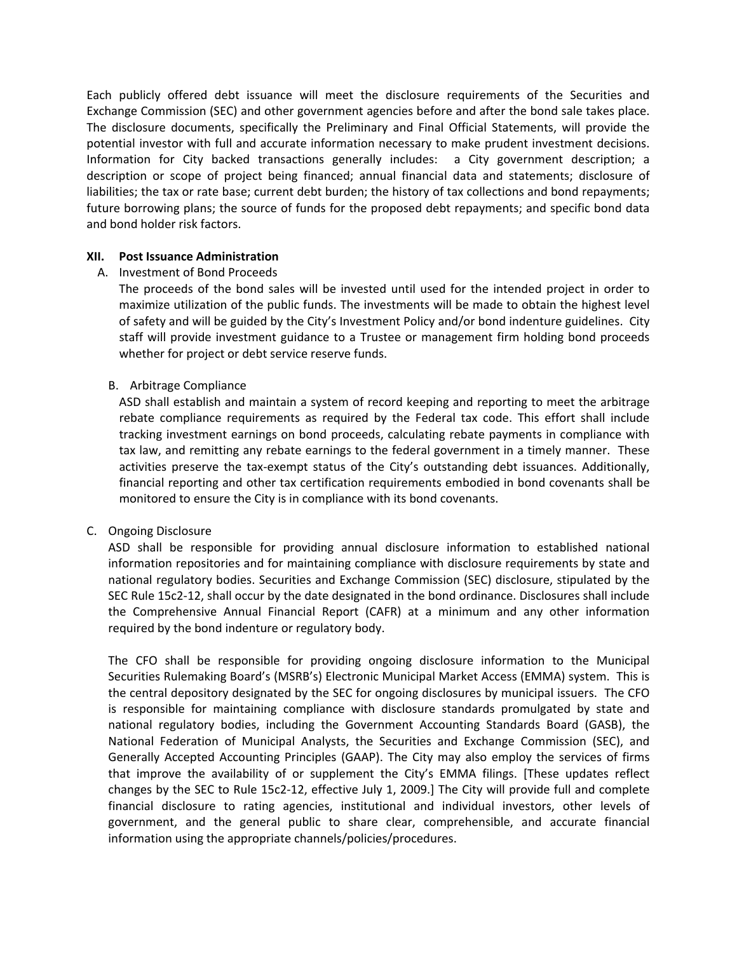Each publicly offered debt issuance will meet the disclosure requirements of the Securities and Exchange Commission (SEC) and other government agencies before and after the bond sale takes place. The disclosure documents, specifically the Preliminary and Final Official Statements, will provide the potential investor with full and accurate information necessary to make prudent investment decisions. Information for City backed transactions generally includes: a City government description; a description or scope of project being financed; annual financial data and statements; disclosure of liabilities; the tax or rate base; current debt burden; the history of tax collections and bond repayments; future borrowing plans; the source of funds for the proposed debt repayments; and specific bond data and bond holder risk factors.

#### **XII. Post Issuance Administration**

## A. Investment of Bond Proceeds

The proceeds of the bond sales will be invested until used for the intended project in order to maximize utilization of the public funds. The investments will be made to obtain the highest level of safety and will be guided by the City's Investment Policy and/or bond indenture guidelines. City staff will provide investment guidance to a Trustee or management firm holding bond proceeds whether for project or debt service reserve funds.

#### B. Arbitrage Compliance

ASD shall establish and maintain a system of record keeping and reporting to meet the arbitrage rebate compliance requirements as required by the Federal tax code. This effort shall include tracking investment earnings on bond proceeds, calculating rebate payments in compliance with tax law, and remitting any rebate earnings to the federal government in a timely manner. These activities preserve the tax‐exempt status of the City's outstanding debt issuances. Additionally, financial reporting and other tax certification requirements embodied in bond covenants shall be monitored to ensure the City is in compliance with its bond covenants.

## C. Ongoing Disclosure

ASD shall be responsible for providing annual disclosure information to established national information repositories and for maintaining compliance with disclosure requirements by state and national regulatory bodies. Securities and Exchange Commission (SEC) disclosure, stipulated by the SEC Rule 15c2‐12, shall occur by the date designated in the bond ordinance. Disclosures shall include the Comprehensive Annual Financial Report (CAFR) at a minimum and any other information required by the bond indenture or regulatory body.

The CFO shall be responsible for providing ongoing disclosure information to the Municipal Securities Rulemaking Board's (MSRB's) Electronic Municipal Market Access (EMMA) system. This is the central depository designated by the SEC for ongoing disclosures by municipal issuers. The CFO is responsible for maintaining compliance with disclosure standards promulgated by state and national regulatory bodies, including the Government Accounting Standards Board (GASB), the National Federation of Municipal Analysts, the Securities and Exchange Commission (SEC), and Generally Accepted Accounting Principles (GAAP). The City may also employ the services of firms that improve the availability of or supplement the City's EMMA filings. [These updates reflect changes by the SEC to Rule 15c2‐12, effective July 1, 2009.] The City will provide full and complete financial disclosure to rating agencies, institutional and individual investors, other levels of government, and the general public to share clear, comprehensible, and accurate financial information using the appropriate channels/policies/procedures.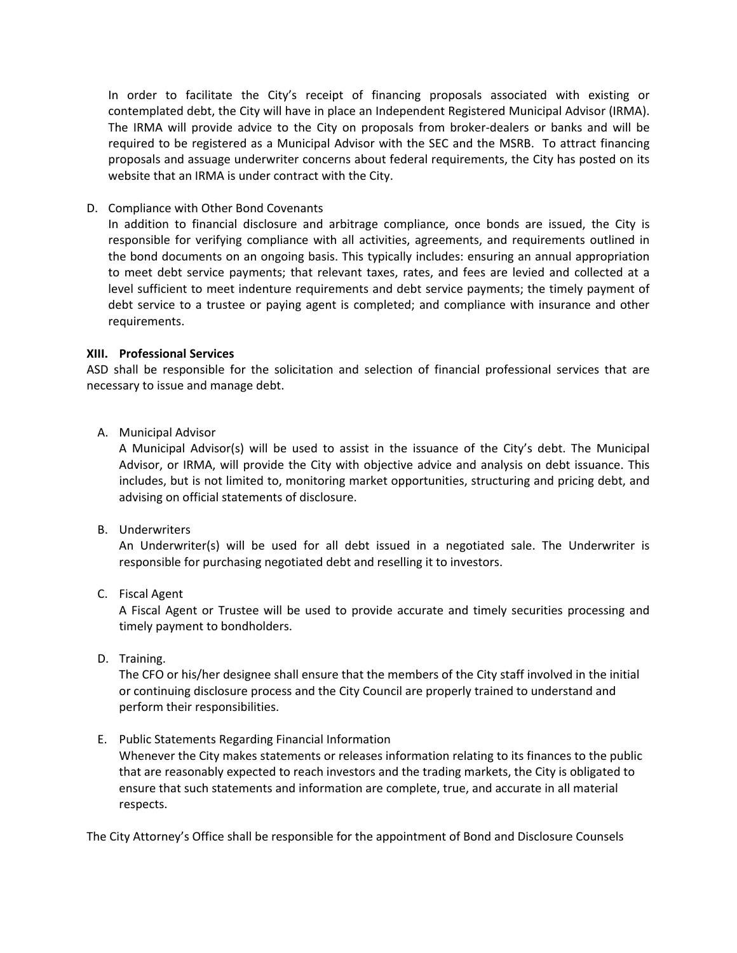In order to facilitate the City's receipt of financing proposals associated with existing or contemplated debt, the City will have in place an Independent Registered Municipal Advisor (IRMA). The IRMA will provide advice to the City on proposals from broker‐dealers or banks and will be required to be registered as a Municipal Advisor with the SEC and the MSRB. To attract financing proposals and assuage underwriter concerns about federal requirements, the City has posted on its website that an IRMA is under contract with the City.

D. Compliance with Other Bond Covenants

In addition to financial disclosure and arbitrage compliance, once bonds are issued, the City is responsible for verifying compliance with all activities, agreements, and requirements outlined in the bond documents on an ongoing basis. This typically includes: ensuring an annual appropriation to meet debt service payments; that relevant taxes, rates, and fees are levied and collected at a level sufficient to meet indenture requirements and debt service payments; the timely payment of debt service to a trustee or paying agent is completed; and compliance with insurance and other requirements.

## **XIII. Professional Services**

ASD shall be responsible for the solicitation and selection of financial professional services that are necessary to issue and manage debt.

A. Municipal Advisor

A Municipal Advisor(s) will be used to assist in the issuance of the City's debt. The Municipal Advisor, or IRMA, will provide the City with objective advice and analysis on debt issuance. This includes, but is not limited to, monitoring market opportunities, structuring and pricing debt, and advising on official statements of disclosure.

B. Underwriters

An Underwriter(s) will be used for all debt issued in a negotiated sale. The Underwriter is responsible for purchasing negotiated debt and reselling it to investors.

C. Fiscal Agent

A Fiscal Agent or Trustee will be used to provide accurate and timely securities processing and timely payment to bondholders.

D. Training.

The CFO or his/her designee shall ensure that the members of the City staff involved in the initial or continuing disclosure process and the City Council are properly trained to understand and perform their responsibilities.

E. Public Statements Regarding Financial Information

Whenever the City makes statements or releases information relating to its finances to the public that are reasonably expected to reach investors and the trading markets, the City is obligated to ensure that such statements and information are complete, true, and accurate in all material respects.

The City Attorney's Office shall be responsible for the appointment of Bond and Disclosure Counsels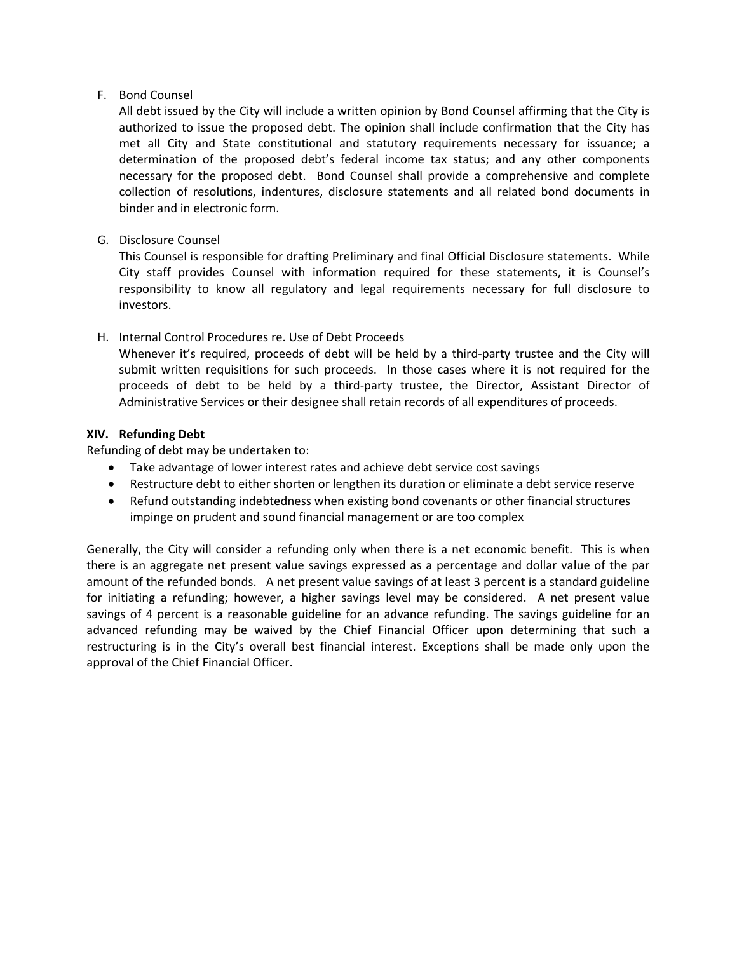## F. Bond Counsel

All debt issued by the City will include a written opinion by Bond Counsel affirming that the City is authorized to issue the proposed debt. The opinion shall include confirmation that the City has met all City and State constitutional and statutory requirements necessary for issuance; a determination of the proposed debt's federal income tax status; and any other components necessary for the proposed debt. Bond Counsel shall provide a comprehensive and complete collection of resolutions, indentures, disclosure statements and all related bond documents in binder and in electronic form.

# G. Disclosure Counsel

This Counsel is responsible for drafting Preliminary and final Official Disclosure statements. While City staff provides Counsel with information required for these statements, it is Counsel's responsibility to know all regulatory and legal requirements necessary for full disclosure to investors.

# H. Internal Control Procedures re. Use of Debt Proceeds

Whenever it's required, proceeds of debt will be held by a third-party trustee and the City will submit written requisitions for such proceeds. In those cases where it is not required for the proceeds of debt to be held by a third‐party trustee, the Director, Assistant Director of Administrative Services or their designee shall retain records of all expenditures of proceeds.

## **XIV. Refunding Debt**

Refunding of debt may be undertaken to:

- Take advantage of lower interest rates and achieve debt service cost savings
- Restructure debt to either shorten or lengthen its duration or eliminate a debt service reserve
- Refund outstanding indebtedness when existing bond covenants or other financial structures impinge on prudent and sound financial management or are too complex

Generally, the City will consider a refunding only when there is a net economic benefit. This is when there is an aggregate net present value savings expressed as a percentage and dollar value of the par amount of the refunded bonds. A net present value savings of at least 3 percent is a standard guideline for initiating a refunding; however, a higher savings level may be considered. A net present value savings of 4 percent is a reasonable guideline for an advance refunding. The savings guideline for an advanced refunding may be waived by the Chief Financial Officer upon determining that such a restructuring is in the City's overall best financial interest. Exceptions shall be made only upon the approval of the Chief Financial Officer.